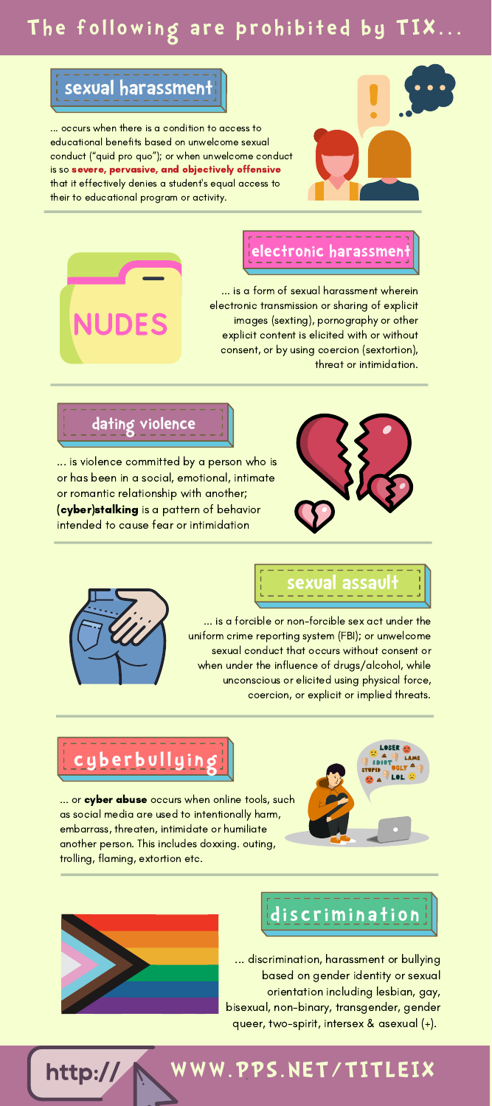### **Th e f o l l owi ng a r e p r o h i b it e d b y TIX...**

### **sexual harassment**

... occurs when there is a condition to access to educational benefits based on unwelcome sexual conduct ("quid pro quo"); or when unwelcome conduct is so severe, pervasive, and objectively offensive that it effectively denies a student's equal access to their to educational program or activity.





#### **electronic harassment**

... is a form of sexual harassment wherein electronic transmission or sharing of explicit images (sexting), pornography or other explicit content is elicited with or without consent, or by using coercion (sextortion), threat or intimidation.

#### **dating violence**

... is violence committed by a person who is or has been in a social, emotional, intimate or romantic relationship with another; (cyber)stalking is a pattern of behavior intended to cause fear or intimidation





# **sexual assault**

... is a forcible or non-forcible sex act under the uniform crime reporting system (FBI); or unwelcome sexual conduct that occurs without consent or when under the influence of drugs/alcohol, while unconscious or elicited using physical force, coercion, or explicit or implied threats.

## **c y b e r b u l l y i n g**

... or cyber abuse occurs when online tools, such as social media are used to intentionally harm, embarrass, threaten, intimidate or humiliate another person. This includes doxxing. outing, trolling, flaming, extortion etc.





# **d is c rimi n a ti o n**

... discrimination, harassment or bullying based on gender identity or sexual orientation including lesbian, gay, bisexual, non-binary, transgender, gender queer, two-spirit, intersex & asexual (+).



# **WWW.P**.**PS.NET/TITLEIX**